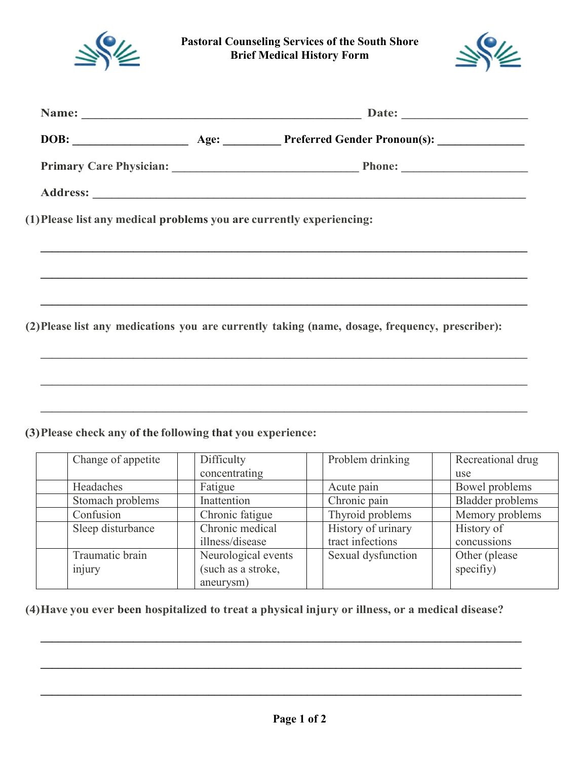

**Pastoral Counseling Services of the South Shore Brief Medical History Form**



|                    | (1) Please list any medical problems you are currently experiencing: |                                                                                                 |                           |
|--------------------|----------------------------------------------------------------------|-------------------------------------------------------------------------------------------------|---------------------------|
|                    |                                                                      |                                                                                                 |                           |
|                    |                                                                      |                                                                                                 |                           |
|                    |                                                                      |                                                                                                 |                           |
|                    |                                                                      | (2) Please list any medications you are currently taking (name, dosage, frequency, prescriber): |                           |
|                    |                                                                      |                                                                                                 |                           |
|                    |                                                                      |                                                                                                 |                           |
|                    |                                                                      |                                                                                                 |                           |
|                    |                                                                      |                                                                                                 |                           |
|                    |                                                                      |                                                                                                 |                           |
|                    | (3) Please check any of the following that you experience:           |                                                                                                 |                           |
| Change of appetite | Difficulty                                                           | Problem drinking                                                                                | Recreational drug         |
| Headaches          | concentrating<br>Fatigue                                             | Acute pain                                                                                      | use<br>Bowel problems     |
| Stomach problems   | Inattention                                                          | Chronic pain                                                                                    | <b>Bladder</b> problems   |
| Confusion          |                                                                      |                                                                                                 | Memory problems           |
|                    | Chronic fatigue<br>Chronic medical                                   | Thyroid problems                                                                                |                           |
| Sleep disturbance  | illness/disease                                                      | History of urinary<br>tract infections                                                          | History of<br>concussions |
| Traumatic brain    | Neurological events                                                  | Sexual dysfunction                                                                              | Other (please             |
|                    |                                                                      |                                                                                                 |                           |
| injury             | (such as a stroke,                                                   |                                                                                                 | specifiy)                 |

**(4)Have you ever been hospitalized to treat a physical injury or illness, or a medical disease?**

**\_\_\_\_\_\_\_\_\_\_\_\_\_\_\_\_\_\_\_\_\_\_\_\_\_\_\_\_\_\_\_\_\_\_\_\_\_\_\_\_\_\_\_\_\_\_\_\_\_\_\_\_\_\_\_\_\_\_\_\_\_\_\_\_\_\_\_\_\_\_\_\_\_\_\_\_\_\_\_\_\_\_\_**

**\_\_\_\_\_\_\_\_\_\_\_\_\_\_\_\_\_\_\_\_\_\_\_\_\_\_\_\_\_\_\_\_\_\_\_\_\_\_\_\_\_\_\_\_\_\_\_\_\_\_\_\_\_\_\_\_\_\_\_\_\_\_\_\_\_\_\_\_\_\_\_\_\_\_\_\_\_\_\_\_\_\_\_**

**\_\_\_\_\_\_\_\_\_\_\_\_\_\_\_\_\_\_\_\_\_\_\_\_\_\_\_\_\_\_\_\_\_\_\_\_\_\_\_\_\_\_\_\_\_\_\_\_\_\_\_\_\_\_\_\_\_\_\_\_\_\_\_\_\_\_\_\_\_\_\_\_\_\_\_\_\_\_\_\_\_\_\_**

aneurysm)